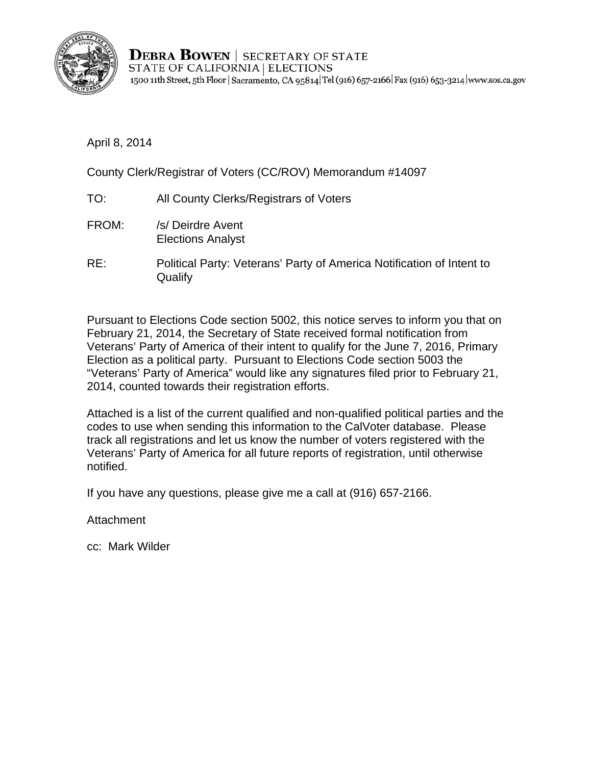

**DEBRA BOWEN** | SECRETARY OF STATE STATE OF CALIFORNIA | ELECTIONS 1500 11th Street, 5th Floor | Sacramento, CA 95814 Tel (916) 657-2166 | Fax (916) 653-3214 | www.sos.ca.gov

April 8, 2014

County Clerk/Registrar of Voters (CC/ROV) Memorandum #14097

- TO: All County Clerks/Registrars of Voters
- FROM: /s/ Deirdre Avent Elections Analyst
- RE: Political Party: Veterans' Party of America Notification of Intent to **Qualify**

Pursuant to Elections Code section 5002, this notice serves to inform you that on February 21, 2014, the Secretary of State received formal notification from Veterans' Party of America of their intent to qualify for the June 7, 2016, Primary Election as a political party. Pursuant to Elections Code section 5003 the "Veterans' Party of America" would like any signatures filed prior to February 21, 2014, counted towards their registration efforts.

Attached is a list of the current qualified and non-qualified political parties and the codes to use when sending this information to the CalVoter database. Please track all registrations and let us know the number of voters registered with the Veterans' Party of America for all future reports of registration, until otherwise notified.

If you have any questions, please give me a call at (916) 657-2166.

Attachment

cc: Mark Wilder